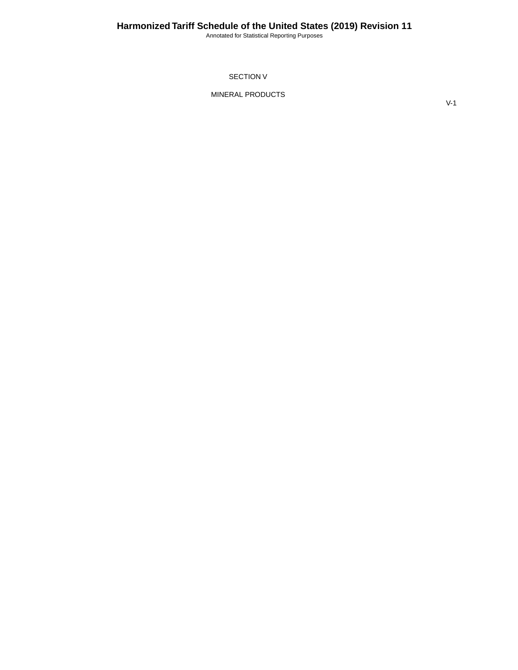Annotated for Statistical Reporting Purposes

SECTION V

MINERAL PRODUCTS

V-1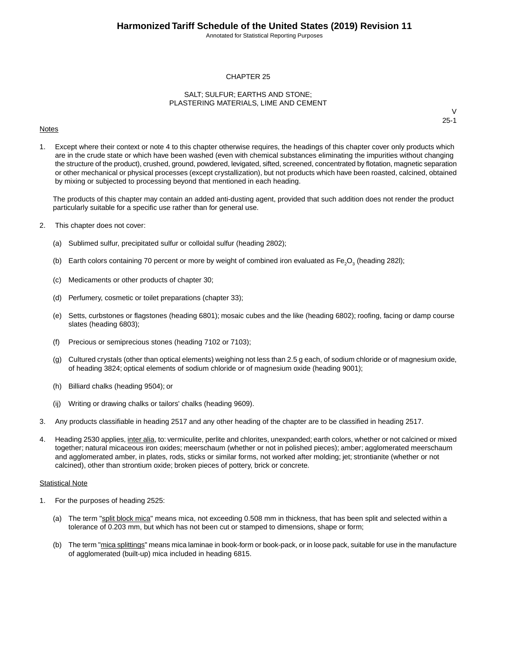Annotated for Statistical Reporting Purposes

#### CHAPTER 25

#### SALT; SULFUR; EARTHS AND STONE; PLASTERING MATERIALS, LIME AND CEMENT

#### **Notes**

V 25-1

1. Except where their context or note 4 to this chapter otherwise requires, the headings of this chapter cover only products which are in the crude state or which have been washed (even with chemical substances eliminating the impurities without changing the structure of the product), crushed, ground, powdered, levigated, sifted, screened, concentrated by flotation, magnetic separation or other mechanical or physical processes (except crystallization), but not products which have been roasted, calcined, obtained by mixing or subjected to processing beyond that mentioned in each heading.

The products of this chapter may contain an added anti-dusting agent, provided that such addition does not render the product particularly suitable for a specific use rather than for general use.

- 2. This chapter does not cover:
	- (a) Sublimed sulfur, precipitated sulfur or colloidal sulfur (heading 2802);
	- (b) Earth colors containing 70 percent or more by weight of combined iron evaluated as Fe<sub>2</sub>O<sub>3</sub> (heading 282I);
	- (c) Medicaments or other products of chapter 30;
	- (d) Perfumery, cosmetic or toilet preparations (chapter 33);
	- (e) Setts, curbstones or flagstones (heading 6801); mosaic cubes and the like (heading 6802); roofing, facing or damp course slates (heading 6803);
	- (f) Precious or semiprecious stones (heading 7102 or 7103);
	- (g) Cultured crystals (other than optical elements) weighing not less than 2.5 g each, of sodium chloride or of magnesium oxide, of heading 3824; optical elements of sodium chloride or of magnesium oxide (heading 9001);
	- (h) Billiard chalks (heading 9504); or
	- (ij) Writing or drawing chalks or tailors' chalks (heading 9609).
- 3. Any products classifiable in heading 2517 and any other heading of the chapter are to be classified in heading 2517.
- 4. Heading 2530 applies, inter alia, to: vermiculite, perlite and chlorites, unexpanded; earth colors, whether or not calcined or mixed together; natural micaceous iron oxides; meerschaum (whether or not in polished pieces); amber; agglomerated meerschaum and agglomerated amber, in plates, rods, sticks or similar forms, not worked after molding; jet; strontianite (whether or not calcined), other than strontium oxide; broken pieces of pottery, brick or concrete.

#### Statistical Note

- 1. For the purposes of heading 2525:
	- (a) The term "split block mica" means mica, not exceeding 0.508 mm in thickness, that has been split and selected within a tolerance of 0.203 mm, but which has not been cut or stamped to dimensions, shape or form;
	- (b) The term "mica splittings" means mica laminae in book-form or book-pack, or in loose pack, suitable for use in the manufacture of agglomerated (built-up) mica included in heading 6815.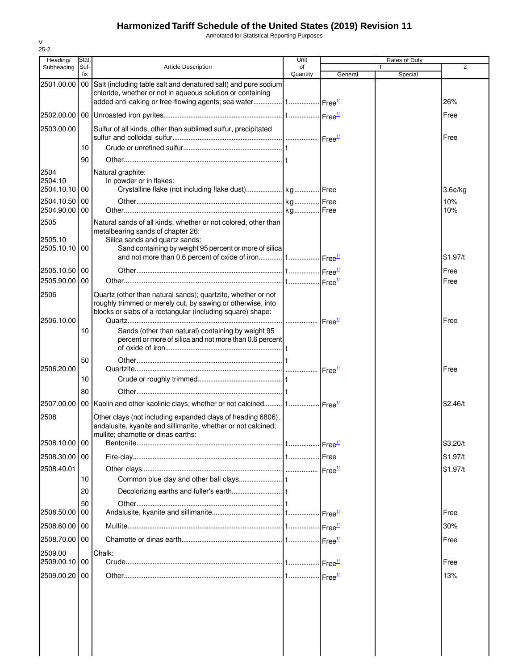Annotated for Statistical Reporting Purposes

| Heading/                         | Stat. |                                                                                                                                                                                                 | Unit     |                                  | Rates of Duty |                |
|----------------------------------|-------|-------------------------------------------------------------------------------------------------------------------------------------------------------------------------------------------------|----------|----------------------------------|---------------|----------------|
| Subheading                       | Suf-  | <b>Article Description</b>                                                                                                                                                                      | of       |                                  |               | $\overline{2}$ |
| 2501.00.00 00                    | fix   | Salt (including table salt and denatured salt) and pure sodium<br>chloride, whether or not in aqueous solution or containing                                                                    | Quantity | General                          | Special       |                |
|                                  |       |                                                                                                                                                                                                 |          |                                  |               | 26%            |
|                                  |       |                                                                                                                                                                                                 |          |                                  |               | Free           |
| 2503.00.00                       |       | Sulfur of all kinds, other than sublimed sulfur, precipitated                                                                                                                                   |          |                                  |               | Free           |
|                                  | 10    |                                                                                                                                                                                                 |          |                                  |               |                |
|                                  | 90    |                                                                                                                                                                                                 |          |                                  |               |                |
| 2504<br>2504.10<br>2504.10.10 00 |       | Natural graphite:<br>In powder or in flakes:                                                                                                                                                    |          |                                  |               | $3.6$ ¢/kg     |
| 2504.10.50 00                    |       |                                                                                                                                                                                                 |          |                                  |               | 10%            |
| 2504.90.00 00                    |       |                                                                                                                                                                                                 |          |                                  |               | 10%            |
| 2505<br>2505.10<br>2505.10.10 00 |       | Natural sands of all kinds, whether or not colored, other than<br>metalbearing sands of chapter 26:<br>Silica sands and quartz sands:<br>Sand containing by weight 95 percent or more of silica |          |                                  |               |                |
|                                  |       | and not more than 0.6 percent of oxide of iron   t   Free <sup>1/</sup>                                                                                                                         |          |                                  |               | \$1.97/t       |
| 2505.10.50 00                    |       |                                                                                                                                                                                                 |          |                                  |               | Free           |
| 2505.90.00                       | 00    |                                                                                                                                                                                                 |          |                                  |               | Free           |
| 2506                             |       | Quartz (other than natural sands); quartzite, whether or not<br>roughly trimmed or merely cut, by sawing or otherwise, into<br>blocks or slabs of a rectangular (including square) shape:       |          |                                  |               |                |
| 2506.10.00                       | 10    | Sands (other than natural) containing by weight 95<br>percent or more of silica and not more than 0.6 percent                                                                                   |          |                                  |               | Free           |
|                                  | 50    |                                                                                                                                                                                                 |          |                                  |               |                |
| 2506.20.00                       | 10    |                                                                                                                                                                                                 |          |                                  |               | Free           |
|                                  | 80    |                                                                                                                                                                                                 |          |                                  |               |                |
| 2507.00.00                       |       | 00 Kaolin and other kaolinic clays, whether or not calcined   t    Free <sup>1/</sup>                                                                                                           |          |                                  |               | \$2.46/t       |
| 2508                             |       | Other clays (not including expanded clays of heading 6806),<br>andalusite, kyanite and sillimanite, whether or not calcined;<br>mullite; chamotte or dinas earths:                              |          |                                  |               |                |
| 2508.10.00 00                    |       |                                                                                                                                                                                                 |          | $\cdot$ Free $\frac{1}{2}$       |               | \$3.20/t       |
| 2508.30.00 00                    |       |                                                                                                                                                                                                 |          | Free                             |               | \$1.97/t       |
| 2508.40.01                       |       |                                                                                                                                                                                                 |          |                                  |               | \$1.97/t       |
|                                  | 10    |                                                                                                                                                                                                 |          |                                  |               |                |
|                                  | 20    |                                                                                                                                                                                                 |          |                                  |               |                |
| 2508.50.00 00                    | 50    |                                                                                                                                                                                                 |          | $\cdot$ Free $^{\underline{17}}$ |               | Free           |
| 2508.60.00 00                    |       |                                                                                                                                                                                                 |          | Free <sup>1/</sup>               |               | 30%            |
| 2508.70.00 00                    |       |                                                                                                                                                                                                 |          |                                  |               | Free           |
| 2509.00                          |       | Chalk:                                                                                                                                                                                          |          |                                  |               |                |
| 2509.00.10 00                    |       |                                                                                                                                                                                                 |          |                                  |               | Free           |
| 2509.00.20 00                    |       |                                                                                                                                                                                                 |          |                                  |               | 13%            |
|                                  |       |                                                                                                                                                                                                 |          |                                  |               |                |

V  $25 - 2$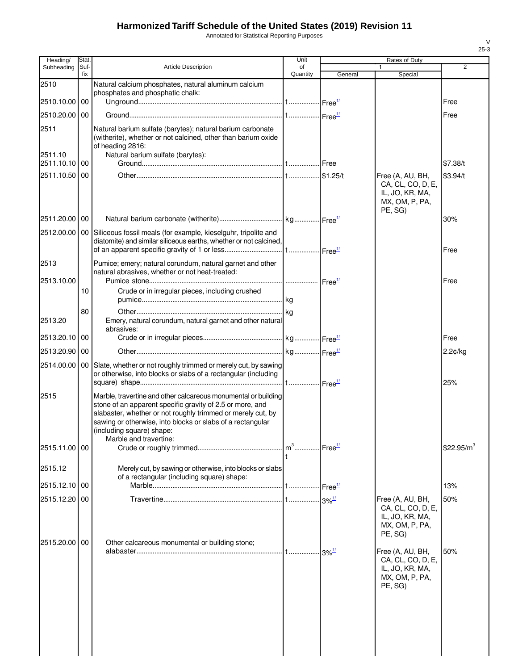Annotated for Statistical Reporting Purposes

| Heading/                 | Stat.       |                                                                                                                                                                                                                                                                                                                 | Unit           |          | Rates of Duty                                                                         |                        |
|--------------------------|-------------|-----------------------------------------------------------------------------------------------------------------------------------------------------------------------------------------------------------------------------------------------------------------------------------------------------------------|----------------|----------|---------------------------------------------------------------------------------------|------------------------|
| Subheading               | Suf-<br>fix | <b>Article Description</b>                                                                                                                                                                                                                                                                                      | of<br>Quantity | General  | 1<br>Special                                                                          | 2                      |
| 2510                     |             | Natural calcium phosphates, natural aluminum calcium                                                                                                                                                                                                                                                            |                |          |                                                                                       |                        |
|                          |             | phosphates and phosphatic chalk:                                                                                                                                                                                                                                                                                |                |          |                                                                                       |                        |
| 2510.10.00 00            |             |                                                                                                                                                                                                                                                                                                                 |                |          |                                                                                       | Free                   |
| 2510.20.00               | 00          |                                                                                                                                                                                                                                                                                                                 |                |          |                                                                                       | Free                   |
| 2511                     |             | Natural barium sulfate (barytes); natural barium carbonate<br>(witherite), whether or not calcined, other than barium oxide<br>of heading 2816:                                                                                                                                                                 |                |          |                                                                                       |                        |
| 2511.10<br>2511.10.10 00 |             | Natural barium sulfate (barytes):                                                                                                                                                                                                                                                                               |                |          |                                                                                       | \$7.38/t               |
| 2511.10.50               | 00          |                                                                                                                                                                                                                                                                                                                 |                | \$1.25/t | Free (A, AU, BH,                                                                      | \$3.94/t               |
|                          |             |                                                                                                                                                                                                                                                                                                                 |                |          | CA, CL, CO, D, E,<br>IL, JO, KR, MA,<br>MX, OM, P, PA,<br>PE, SG)                     |                        |
| 2511.20.00 00            |             |                                                                                                                                                                                                                                                                                                                 |                |          |                                                                                       | 30%                    |
|                          |             | 2512.00.00   00 Siliceous fossil meals (for example, kieselguhr, tripolite and<br>diatomite) and similar siliceous earths, whether or not calcined,                                                                                                                                                             |                |          |                                                                                       | Free                   |
| 2513                     |             | Pumice; emery; natural corundum, natural garnet and other                                                                                                                                                                                                                                                       |                |          |                                                                                       |                        |
| 2513.10.00               |             | natural abrasives, whether or not heat-treated:                                                                                                                                                                                                                                                                 |                |          |                                                                                       | Free                   |
|                          | 10          | Crude or in irregular pieces, including crushed                                                                                                                                                                                                                                                                 |                |          |                                                                                       |                        |
|                          |             |                                                                                                                                                                                                                                                                                                                 |                |          |                                                                                       |                        |
|                          | 80          |                                                                                                                                                                                                                                                                                                                 |                |          |                                                                                       |                        |
| 2513.20                  |             | Emery, natural corundum, natural garnet and other natural<br>abrasives:                                                                                                                                                                                                                                         |                |          |                                                                                       |                        |
| 2513.20.10               | 00          |                                                                                                                                                                                                                                                                                                                 |                |          |                                                                                       | Free                   |
| 2513.20.90               | 00          |                                                                                                                                                                                                                                                                                                                 |                |          |                                                                                       | 2.2¢/kg                |
| 2514.00.00               |             | 00 Slate, whether or not roughly trimmed or merely cut, by sawing<br>or otherwise, into blocks or slabs of a rectangular (including                                                                                                                                                                             |                |          |                                                                                       | 25%                    |
| 2515                     |             | Marble, travertine and other calcareous monumental or building<br>stone of an apparent specific gravity of 2.5 or more, and<br>alabaster, whether or not roughly trimmed or merely cut, by<br>sawing or otherwise, into blocks or slabs of a rectangular<br>(including square) shape:<br>Marble and travertine: |                |          |                                                                                       |                        |
| 2515.11.00 00            |             |                                                                                                                                                                                                                                                                                                                 |                |          |                                                                                       | \$22.95/m <sup>3</sup> |
| 2515.12                  |             | Merely cut, by sawing or otherwise, into blocks or slabs<br>of a rectangular (including square) shape:                                                                                                                                                                                                          |                |          |                                                                                       |                        |
| 2515.12.10               | 00          |                                                                                                                                                                                                                                                                                                                 |                |          |                                                                                       | 13%                    |
| 2515.12.20 00            |             |                                                                                                                                                                                                                                                                                                                 |                |          | Free (A, AU, BH,<br>CA, CL, CO, D, E,<br>IL, JO, KR, MA,<br>MX, OM, P, PA,<br>PE, SG) | 50%                    |
| 2515.20.00 00            |             | Other calcareous monumental or building stone;                                                                                                                                                                                                                                                                  |                |          | Free (A, AU, BH,                                                                      | 50%                    |
|                          |             |                                                                                                                                                                                                                                                                                                                 |                |          | CA, CL, CO, D, E,<br>IL, JO, KR, MA,<br>MX, OM, P, PA,<br>PE, SG)                     |                        |
|                          |             |                                                                                                                                                                                                                                                                                                                 |                |          |                                                                                       |                        |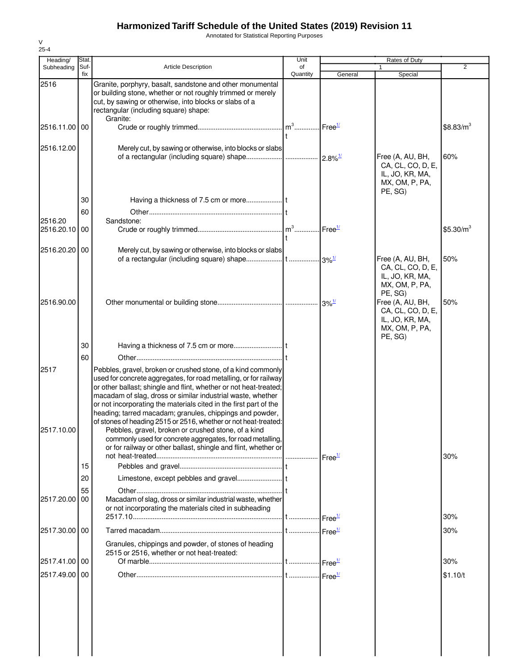Annotated for Statistical Reporting Purposes

| Heading/              | Stat.       |                                                                                                                                                                                                                                                                                                                                                                                                                                                                                                                                                                                                                                                                 | Unit           |                    | Rates of Duty                                                                         |                       |
|-----------------------|-------------|-----------------------------------------------------------------------------------------------------------------------------------------------------------------------------------------------------------------------------------------------------------------------------------------------------------------------------------------------------------------------------------------------------------------------------------------------------------------------------------------------------------------------------------------------------------------------------------------------------------------------------------------------------------------|----------------|--------------------|---------------------------------------------------------------------------------------|-----------------------|
| Subheading            | Suf-<br>fix | <b>Article Description</b>                                                                                                                                                                                                                                                                                                                                                                                                                                                                                                                                                                                                                                      | of<br>Quantity | General            | 1<br>Special                                                                          | $\overline{2}$        |
| 2516                  |             | Granite, porphyry, basalt, sandstone and other monumental<br>or building stone, whether or not roughly trimmed or merely<br>cut, by sawing or otherwise, into blocks or slabs of a<br>rectangular (including square) shape:<br>Granite:                                                                                                                                                                                                                                                                                                                                                                                                                         |                |                    |                                                                                       |                       |
| 2516.11.00 00         |             |                                                                                                                                                                                                                                                                                                                                                                                                                                                                                                                                                                                                                                                                 |                | Free <sup>1/</sup> |                                                                                       | $$8.83/m^3$           |
| 2516.12.00            |             | Merely cut, by sawing or otherwise, into blocks or slabs                                                                                                                                                                                                                                                                                                                                                                                                                                                                                                                                                                                                        |                |                    | Free (A, AU, BH,<br>CA, CL, CO, D, E,<br>IL, JO, KR, MA,<br>MX, OM, P, PA,<br>PE, SG) | 60%                   |
|                       | 30          |                                                                                                                                                                                                                                                                                                                                                                                                                                                                                                                                                                                                                                                                 |                |                    |                                                                                       |                       |
|                       | 60          |                                                                                                                                                                                                                                                                                                                                                                                                                                                                                                                                                                                                                                                                 |                |                    |                                                                                       |                       |
| 2516.20<br>2516.20.10 | 00          | Sandstone:                                                                                                                                                                                                                                                                                                                                                                                                                                                                                                                                                                                                                                                      |                |                    |                                                                                       | \$5.30/m <sup>3</sup> |
| 2516.20.20 00         |             | Merely cut, by sawing or otherwise, into blocks or slabs                                                                                                                                                                                                                                                                                                                                                                                                                                                                                                                                                                                                        |                |                    |                                                                                       |                       |
|                       |             |                                                                                                                                                                                                                                                                                                                                                                                                                                                                                                                                                                                                                                                                 |                |                    | Free (A, AU, BH,<br>CA, CL, CO, D, E,<br>IL, JO, KR, MA,<br>MX, OM, P, PA,<br>PE, SG) | 50%                   |
| 2516.90.00            |             |                                                                                                                                                                                                                                                                                                                                                                                                                                                                                                                                                                                                                                                                 |                |                    | Free (A, AU, BH,<br>CA, CL, CO, D, E,<br>IL, JO, KR, MA,<br>MX, OM, P, PA,<br>PE, SG) | 50%                   |
|                       | 30          |                                                                                                                                                                                                                                                                                                                                                                                                                                                                                                                                                                                                                                                                 |                |                    |                                                                                       |                       |
|                       | 60          |                                                                                                                                                                                                                                                                                                                                                                                                                                                                                                                                                                                                                                                                 |                |                    |                                                                                       |                       |
| 2517<br>2517.10.00    |             | Pebbles, gravel, broken or crushed stone, of a kind commonly<br>used for concrete aggregates, for road metalling, or for railway<br>or other ballast; shingle and flint, whether or not heat-treated;<br>macadam of slag, dross or similar industrial waste, whether<br>or not incorporating the materials cited in the first part of the<br>heading; tarred macadam; granules, chippings and powder,<br>of stones of heading 2515 or 2516, whether or not heat-treated:<br>Pebbles, gravel, broken or crushed stone, of a kind<br>commonly used for concrete aggregates, for road metalling,<br>or for railway or other ballast, shingle and flint, whether or |                |                    |                                                                                       | 30%                   |
|                       | 15          |                                                                                                                                                                                                                                                                                                                                                                                                                                                                                                                                                                                                                                                                 |                |                    |                                                                                       |                       |
|                       | 20          |                                                                                                                                                                                                                                                                                                                                                                                                                                                                                                                                                                                                                                                                 |                |                    |                                                                                       |                       |
| 2517.20.00            | 55<br>00    | Macadam of slag, dross or similar industrial waste, whether<br>or not incorporating the materials cited in subheading                                                                                                                                                                                                                                                                                                                                                                                                                                                                                                                                           |                |                    |                                                                                       | 30%                   |
| 2517.30.00 00         |             |                                                                                                                                                                                                                                                                                                                                                                                                                                                                                                                                                                                                                                                                 |                |                    |                                                                                       | 30%                   |
|                       |             | Granules, chippings and powder, of stones of heading<br>2515 or 2516, whether or not heat-treated:                                                                                                                                                                                                                                                                                                                                                                                                                                                                                                                                                              |                |                    |                                                                                       |                       |
| 2517.41.00 00         |             |                                                                                                                                                                                                                                                                                                                                                                                                                                                                                                                                                                                                                                                                 |                |                    |                                                                                       | 30%                   |
| 2517.49.00 00         |             |                                                                                                                                                                                                                                                                                                                                                                                                                                                                                                                                                                                                                                                                 |                |                    |                                                                                       | \$1.10/t              |
|                       |             |                                                                                                                                                                                                                                                                                                                                                                                                                                                                                                                                                                                                                                                                 |                |                    |                                                                                       |                       |
|                       |             |                                                                                                                                                                                                                                                                                                                                                                                                                                                                                                                                                                                                                                                                 |                |                    |                                                                                       |                       |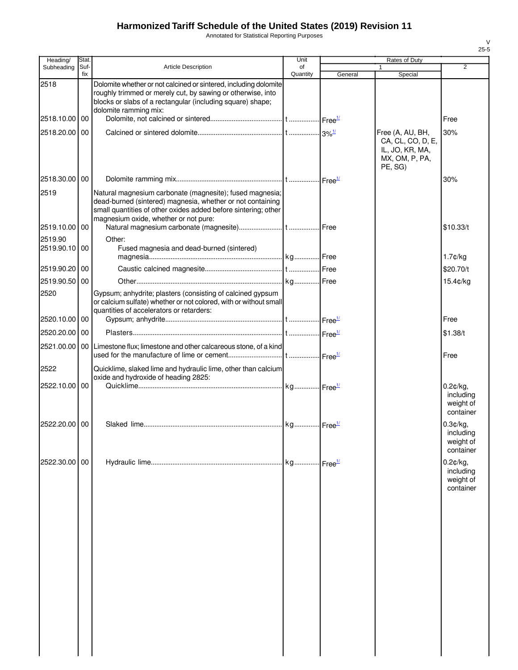Annotated for Statistical Reporting Purposes

| Heading/                 | <b>Stat</b> |                                                                                                                                                                                                                                   | Unit           |         | Rates of Duty                                                                         |                                                    |
|--------------------------|-------------|-----------------------------------------------------------------------------------------------------------------------------------------------------------------------------------------------------------------------------------|----------------|---------|---------------------------------------------------------------------------------------|----------------------------------------------------|
| Subheading               | Suf-<br>fix | <b>Article Description</b>                                                                                                                                                                                                        | of<br>Quantity | General | 1<br>Special                                                                          | $\overline{2}$                                     |
| 2518                     |             | Dolomite whether or not calcined or sintered, including dolomite<br>roughly trimmed or merely cut, by sawing or otherwise, into<br>blocks or slabs of a rectangular (including square) shape;<br>dolomite ramming mix:            |                |         |                                                                                       |                                                    |
| 2518.10.00               | 00          |                                                                                                                                                                                                                                   |                |         |                                                                                       | Free                                               |
| 2518.20.00               | 00          |                                                                                                                                                                                                                                   |                |         | Free (A, AU, BH,<br>CA, CL, CO, D, E,<br>IL, JO, KR, MA,<br>MX, OM, P, PA,<br>PE, SG) | 30%                                                |
| 2518.30.00               | 00          |                                                                                                                                                                                                                                   |                |         |                                                                                       | 30%                                                |
| 2519                     |             | Natural magnesium carbonate (magnesite); fused magnesia;<br>dead-burned (sintered) magnesia, whether or not containing<br>small quantities of other oxides added before sintering; other<br>magnesium oxide, whether or not pure: |                |         |                                                                                       |                                                    |
| 2519.10.00 00            |             |                                                                                                                                                                                                                                   |                |         |                                                                                       | \$10.33/t                                          |
| 2519.90<br>2519.90.10 00 |             | Other:<br>Fused magnesia and dead-burned (sintered)                                                                                                                                                                               |                |         |                                                                                       | $1.7$ ¢/kg                                         |
| 2519.90.20 00            |             |                                                                                                                                                                                                                                   |                |         |                                                                                       | \$20.70/t                                          |
| 2519.90.50               | 00          |                                                                                                                                                                                                                                   |                |         |                                                                                       | 15.4¢/kg                                           |
| 2520                     |             | Gypsum; anhydrite; plasters (consisting of calcined gypsum<br>or calcium sulfate) whether or not colored, with or without small<br>quantities of accelerators or retarders:                                                       |                |         |                                                                                       |                                                    |
| 2520.10.00               | 00          |                                                                                                                                                                                                                                   |                |         |                                                                                       | Free                                               |
| 2520.20.00 00            |             |                                                                                                                                                                                                                                   |                |         |                                                                                       | \$1.38/t                                           |
|                          |             | 2521.00.00   00   Limestone flux; limestone and other calcareous stone, of a kind                                                                                                                                                 |                |         |                                                                                       | Free                                               |
| 2522                     |             | Quicklime, slaked lime and hydraulic lime, other than calcium<br>oxide and hydroxide of heading 2825:                                                                                                                             |                |         |                                                                                       |                                                    |
| 2522.10.00               | 00          |                                                                                                                                                                                                                                   |                |         |                                                                                       | 0.2¢/kg,<br>including<br>weight of<br>container    |
| 2522.20.00 00            |             |                                                                                                                                                                                                                                   |                |         |                                                                                       | 0.3¢/kg,<br>including<br>weight of<br>container    |
| 2522.30.00 00            |             |                                                                                                                                                                                                                                   |                |         |                                                                                       | $0.2$ ¢/kg,<br>including<br>weight of<br>container |
|                          |             |                                                                                                                                                                                                                                   |                |         |                                                                                       |                                                    |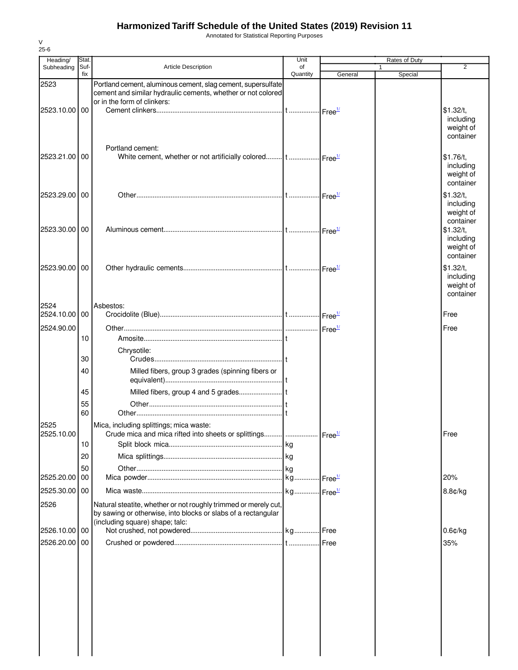Annotated for Statistical Reporting Purposes

| Heading/              | Stat.       |                                                                                                                                                             | Unit           |         | Rates of Duty |                                                               |
|-----------------------|-------------|-------------------------------------------------------------------------------------------------------------------------------------------------------------|----------------|---------|---------------|---------------------------------------------------------------|
| Subheading            | Suf-<br>fix | <b>Article Description</b>                                                                                                                                  | of<br>Quantity | General | 1<br>Special  | $\overline{2}$                                                |
| 2523<br>2523.10.00    | 00          | Portland cement, aluminous cement, slag cement, supersulfate<br>cement and similar hydraulic cements, whether or not colored<br>or in the form of clinkers: |                |         |               | \$1.32/t.                                                     |
| 2523.21.00            | 00          | Portland cement:                                                                                                                                            |                |         |               | including<br>weight of<br>container<br>\$1.76/t,<br>including |
| 2523.29.00 00         |             |                                                                                                                                                             |                |         |               | weight of<br>container<br>\$1.32/t,<br>including<br>weight of |
| 2523.30.00            | 00          |                                                                                                                                                             |                |         |               | container<br>\$1.32/t.<br>including<br>weight of<br>container |
| 2523.90.00 00         |             |                                                                                                                                                             |                |         |               | \$1.32/t,<br>including<br>weight of<br>container              |
| 2524<br>2524.10.00 00 |             | Asbestos:                                                                                                                                                   |                |         |               | Free                                                          |
| 2524.90.00            |             |                                                                                                                                                             |                |         |               | Free                                                          |
|                       | 10          |                                                                                                                                                             |                |         |               |                                                               |
|                       | 30          | Chrysotile:                                                                                                                                                 |                |         |               |                                                               |
|                       | 40          | Milled fibers, group 3 grades (spinning fibers or                                                                                                           |                |         |               |                                                               |
|                       | 45          |                                                                                                                                                             |                |         |               |                                                               |
|                       | 55          |                                                                                                                                                             |                |         |               |                                                               |
| 2525                  | 60          |                                                                                                                                                             |                |         |               |                                                               |
| 2525.10.00            |             | Mica, including splittings; mica waste:<br>Crude mica and mica rifted into sheets or splittings    Free <sup>1/</sup>                                       |                |         |               | Free                                                          |
|                       | 10          |                                                                                                                                                             |                |         |               |                                                               |
|                       | 20          |                                                                                                                                                             |                |         |               |                                                               |
| 2525.20.00            | 50<br>00    |                                                                                                                                                             |                |         |               | 20%                                                           |
|                       |             |                                                                                                                                                             |                |         |               |                                                               |
| 2525.30.00 00<br>2526 |             | Natural steatite, whether or not roughly trimmed or merely cut,<br>by sawing or otherwise, into blocks or slabs of a rectangular                            |                |         |               | 8.8¢/kg                                                       |
| 2526.10.00            | 00          | (including square) shape; talc:                                                                                                                             |                |         |               | $0.6$ ¢/kg                                                    |
| 2526.20.00 00         |             |                                                                                                                                                             |                | Free    |               | 35%                                                           |
|                       |             |                                                                                                                                                             |                |         |               |                                                               |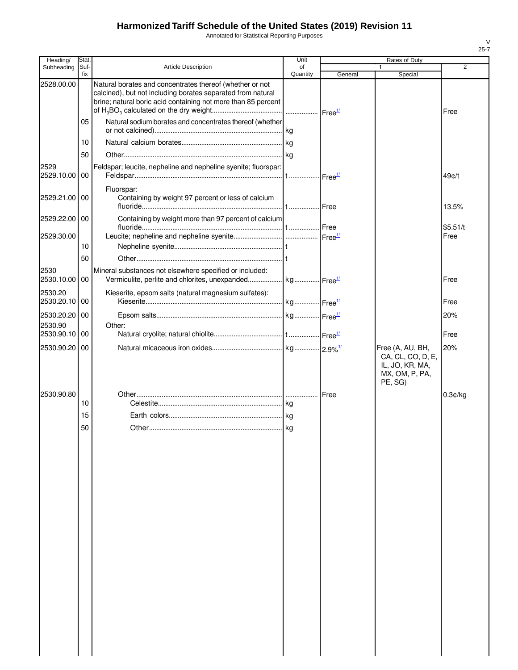Annotated for Statistical Reporting Purposes

| Heading/                 | Stat.       |                                                                                                                                                                                          | Unit           |         | Rates of Duty                                                                         |          |
|--------------------------|-------------|------------------------------------------------------------------------------------------------------------------------------------------------------------------------------------------|----------------|---------|---------------------------------------------------------------------------------------|----------|
| Subheading               | Suf-<br>fix | Article Description                                                                                                                                                                      | of<br>Quantity | General | Special                                                                               | 2        |
| 2528.00.00               |             | Natural borates and concentrates thereof (whether or not<br>calcined), but not including borates separated from natural<br>brine; natural boric acid containing not more than 85 percent |                |         |                                                                                       | Free     |
|                          | 05          | Natural sodium borates and concentrates thereof (whether                                                                                                                                 |                |         |                                                                                       |          |
|                          | 10          |                                                                                                                                                                                          |                |         |                                                                                       |          |
|                          | 50          |                                                                                                                                                                                          |                |         |                                                                                       |          |
| 2529<br>2529.10.00       | 00          | Feldspar; leucite, nepheline and nepheline syenite; fluorspar:                                                                                                                           |                |         |                                                                                       | 49¢/t    |
| 2529.21.00               | 00          | Fluorspar:<br>Containing by weight 97 percent or less of calcium                                                                                                                         |                |         |                                                                                       | 13.5%    |
| 2529.22.00               | 00          | Containing by weight more than 97 percent of calcium                                                                                                                                     |                |         |                                                                                       | \$5.51/t |
| 2529.30.00               |             |                                                                                                                                                                                          |                |         |                                                                                       | Free     |
|                          | 10          |                                                                                                                                                                                          |                |         |                                                                                       |          |
|                          | 50          |                                                                                                                                                                                          |                |         |                                                                                       |          |
| 2530<br>2530.10.00       | 00          | Mineral substances not elsewhere specified or included:                                                                                                                                  |                |         |                                                                                       | Free     |
| 2530.20<br>2530.20.10    | 00          | Kieserite, epsom salts (natural magnesium sulfates):                                                                                                                                     |                |         |                                                                                       | Free     |
| 2530.20.20               | 00          |                                                                                                                                                                                          |                |         |                                                                                       | 20%      |
| 2530.90<br>2530.90.10 00 |             | Other:                                                                                                                                                                                   |                |         |                                                                                       |          |
|                          |             |                                                                                                                                                                                          |                |         |                                                                                       | Free     |
| 2530.90.20               | 00          |                                                                                                                                                                                          |                |         | Free (A, AU, BH,<br>CA, CL, CO, D, E,<br>IL, JO, KR, MA,<br>MX, OM, P, PA,<br>PE, SG) | 20%      |
| 2530.90.80               |             |                                                                                                                                                                                          |                |         |                                                                                       | 0.3¢/kg  |
|                          | 10          |                                                                                                                                                                                          |                |         |                                                                                       |          |
|                          | 15          |                                                                                                                                                                                          |                |         |                                                                                       |          |
|                          | 50          |                                                                                                                                                                                          |                |         |                                                                                       |          |
|                          |             |                                                                                                                                                                                          |                |         |                                                                                       |          |
|                          |             |                                                                                                                                                                                          |                |         |                                                                                       |          |
|                          |             |                                                                                                                                                                                          |                |         |                                                                                       |          |
|                          |             |                                                                                                                                                                                          |                |         |                                                                                       |          |
|                          |             |                                                                                                                                                                                          |                |         |                                                                                       |          |
|                          |             |                                                                                                                                                                                          |                |         |                                                                                       |          |
|                          |             |                                                                                                                                                                                          |                |         |                                                                                       |          |
|                          |             |                                                                                                                                                                                          |                |         |                                                                                       |          |
|                          |             |                                                                                                                                                                                          |                |         |                                                                                       |          |
|                          |             |                                                                                                                                                                                          |                |         |                                                                                       |          |
|                          |             |                                                                                                                                                                                          |                |         |                                                                                       |          |
|                          |             |                                                                                                                                                                                          |                |         |                                                                                       |          |
|                          |             |                                                                                                                                                                                          |                |         |                                                                                       |          |
|                          |             |                                                                                                                                                                                          |                |         |                                                                                       |          |
|                          |             |                                                                                                                                                                                          |                |         |                                                                                       |          |
|                          |             |                                                                                                                                                                                          |                |         |                                                                                       |          |
|                          |             |                                                                                                                                                                                          |                |         |                                                                                       |          |
|                          |             |                                                                                                                                                                                          |                |         |                                                                                       |          |
|                          |             |                                                                                                                                                                                          |                |         |                                                                                       |          |
|                          |             |                                                                                                                                                                                          |                |         |                                                                                       |          |